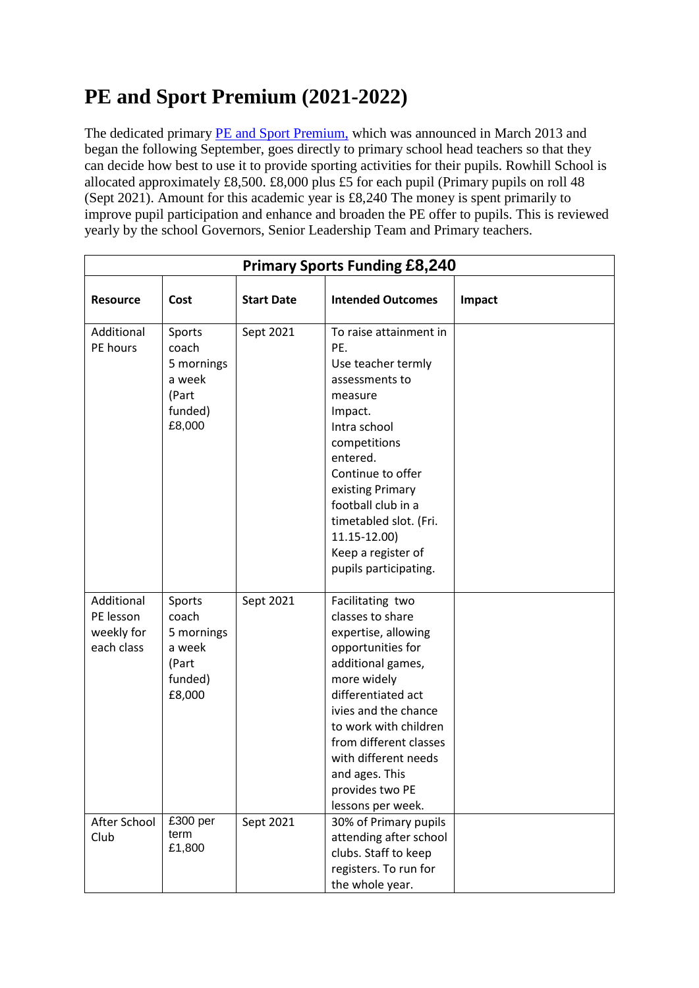## **PE and Sport Premium (2021-2022)**

The dedicated primary [PE and Sport Premium,](http://www.education.gov.uk/schools/adminandfinance/financialmanagement/b00222858/primary-school-sport-funding) which was announced in March 2013 and began the following September, goes directly to primary school head teachers so that they can decide how best to use it to provide sporting activities for their pupils. Rowhill School is allocated approximately £8,500. £8,000 plus £5 for each pupil (Primary pupils on roll 48 (Sept 2021). Amount for this academic year is £8,240 The money is spent primarily to improve pupil participation and enhance and broaden the PE offer to pupils. This is reviewed yearly by the school Governors, Senior Leadership Team and Primary teachers.

| <b>Primary Sports Funding £8,240</b>                |                                                                       |                   |                                                                                                                                                                                                                                                                                                         |        |  |  |  |
|-----------------------------------------------------|-----------------------------------------------------------------------|-------------------|---------------------------------------------------------------------------------------------------------------------------------------------------------------------------------------------------------------------------------------------------------------------------------------------------------|--------|--|--|--|
| Resource                                            | Cost                                                                  | <b>Start Date</b> | <b>Intended Outcomes</b>                                                                                                                                                                                                                                                                                | Impact |  |  |  |
| Additional<br>PE hours                              | Sports<br>coach<br>5 mornings<br>a week<br>(Part<br>funded)<br>£8,000 | Sept 2021         | To raise attainment in<br>PE.<br>Use teacher termly<br>assessments to<br>measure<br>Impact.<br>Intra school<br>competitions<br>entered.<br>Continue to offer<br>existing Primary<br>football club in a<br>timetabled slot. (Fri.<br>11.15-12.00)<br>Keep a register of<br>pupils participating.         |        |  |  |  |
| Additional<br>PE lesson<br>weekly for<br>each class | Sports<br>coach<br>5 mornings<br>a week<br>(Part<br>funded)<br>£8,000 | Sept 2021         | Facilitating two<br>classes to share<br>expertise, allowing<br>opportunities for<br>additional games,<br>more widely<br>differentiated act<br>ivies and the chance<br>to work with children<br>from different classes<br>with different needs<br>and ages. This<br>provides two PE<br>lessons per week. |        |  |  |  |
| After School<br>Club                                | £300 per<br>term<br>£1,800                                            | Sept 2021         | 30% of Primary pupils<br>attending after school<br>clubs. Staff to keep<br>registers. To run for<br>the whole year.                                                                                                                                                                                     |        |  |  |  |